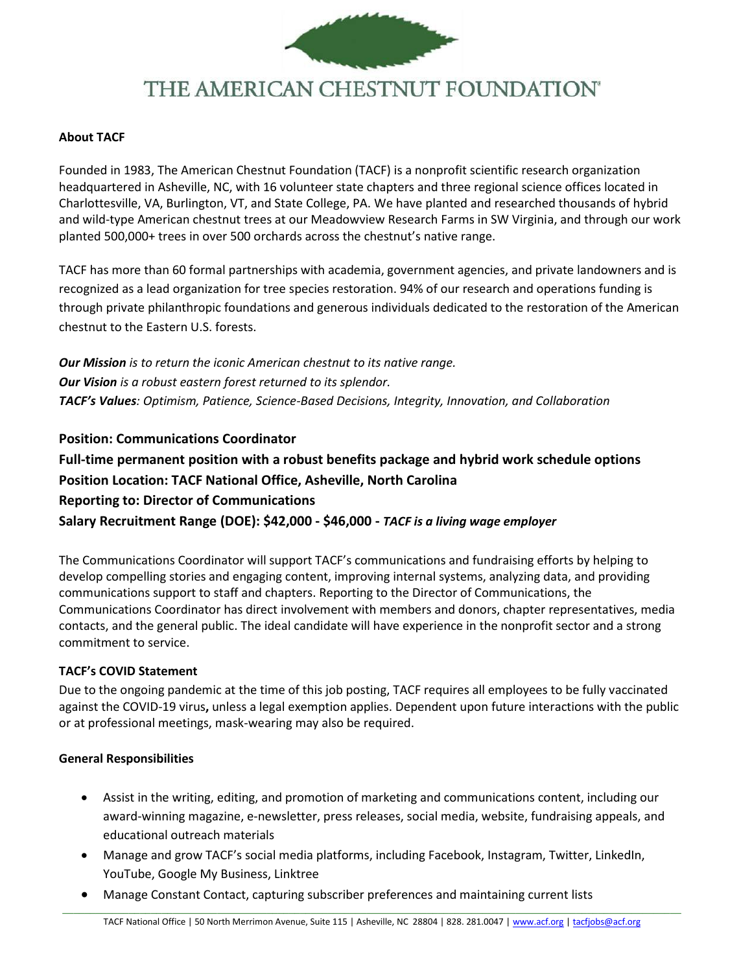

# THE AMERICAN CHESTNUT FOUNDATION®

#### **About TACF**

Founded in 1983, The American Chestnut Foundation (TACF) is a nonprofit scientific research organization headquartered in Asheville, NC, with 16 volunteer state chapters and three regional science offices located in Charlottesville, VA, Burlington, VT, and State College, PA. We have planted and researched thousands of hybrid and wild-type American chestnut trees at our Meadowview Research Farms in SW Virginia, and through our work planted 500,000+ trees in over 500 orchards across the chestnut's native range.

TACF has more than 60 formal partnerships with academia, government agencies, and private landowners and is recognized as a lead organization for tree species restoration. 94% of our research and operations funding is through private philanthropic foundations and generous individuals dedicated to the restoration of the American chestnut to the Eastern U.S. forests.

*Our Mission is to return the iconic American chestnut to its native range. Our Vision is a robust eastern forest returned to its splendor. TACF's Values: Optimism, Patience, Science-Based Decisions, Integrity, Innovation, and Collaboration*

## **Position: Communications Coordinator**

**Full-time permanent position with a robust benefits package and hybrid work schedule options Position Location: TACF National Office, Asheville, North Carolina Reporting to: Director of Communications Salary Recruitment Range (DOE): \$42,000 - \$46,000 -** *TACF is a living wage employer*

The Communications Coordinator will support TACF's communications and fundraising efforts by helping to develop compelling stories and engaging content, improving internal systems, analyzing data, and providing communications support to staff and chapters. Reporting to the Director of Communications, the Communications Coordinator has direct involvement with members and donors, chapter representatives, media contacts, and the general public. The ideal candidate will have experience in the nonprofit sector and a strong commitment to service.

#### **TACF's COVID Statement**

Due to the ongoing pandemic at the time of this job posting, TACF requires all employees to be fully vaccinated against the COVID-19 virus**,** unless a legal exemption applies. Dependent upon future interactions with the public or at professional meetings, mask-wearing may also be required.

#### **General Responsibilities**

- Assist in the writing, editing, and promotion of marketing and communications content, including our award-winning magazine, e-newsletter, press releases, social media, website, fundraising appeals, and educational outreach materials
- Manage and grow TACF's social media platforms, including Facebook, Instagram, Twitter, LinkedIn, YouTube, Google My Business, Linktree
- Manage Constant Contact, capturing subscriber preferences and maintaining current lists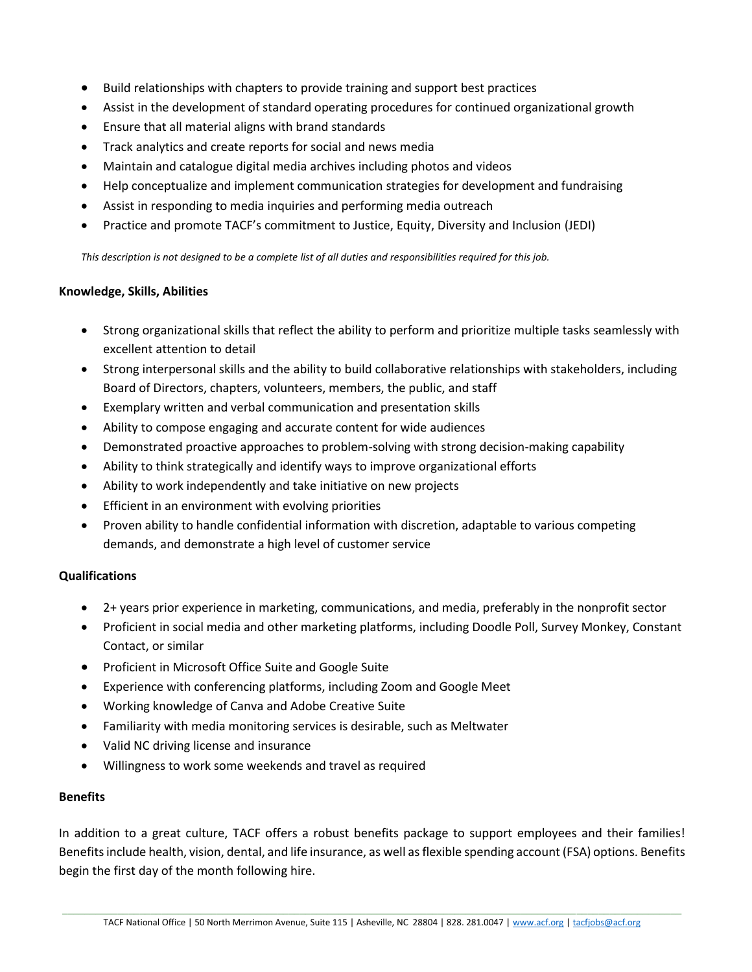- Build relationships with chapters to provide training and support best practices
- Assist in the development of standard operating procedures for continued organizational growth
- Ensure that all material aligns with brand standards
- Track analytics and create reports for social and news media
- Maintain and catalogue digital media archives including photos and videos
- Help conceptualize and implement communication strategies for development and fundraising
- Assist in responding to media inquiries and performing media outreach
- Practice and promote TACF's commitment to Justice, Equity, Diversity and Inclusion (JEDI)

*This description is not designed to be a complete list of all duties and responsibilities required for this job.*

#### **Knowledge, Skills, Abilities**

- Strong organizational skills that reflect the ability to perform and prioritize multiple tasks seamlessly with excellent attention to detail
- Strong interpersonal skills and the ability to build collaborative relationships with stakeholders, including Board of Directors, chapters, volunteers, members, the public, and staff
- Exemplary written and verbal communication and presentation skills
- Ability to compose engaging and accurate content for wide audiences
- Demonstrated proactive approaches to problem-solving with strong decision-making capability
- Ability to think strategically and identify ways to improve organizational efforts
- Ability to work independently and take initiative on new projects
- Efficient in an environment with evolving priorities
- Proven ability to handle confidential information with discretion, adaptable to various competing demands, and demonstrate a high level of customer service

#### **Qualifications**

- 2+ years prior experience in marketing, communications, and media, preferably in the nonprofit sector
- Proficient in social media and other marketing platforms, including Doodle Poll, Survey Monkey, Constant Contact, or similar
- Proficient in Microsoft Office Suite and Google Suite
- Experience with conferencing platforms, including Zoom and Google Meet
- Working knowledge of Canva and Adobe Creative Suite
- Familiarity with media monitoring services is desirable, such as Meltwater
- Valid NC driving license and insurance
- Willingness to work some weekends and travel as required

#### **Benefits**

In addition to a great culture, TACF offers a robust benefits package to support employees and their families! Benefits include health, vision, dental, and life insurance, as well as flexible spending account (FSA) options. Benefits begin the first day of the month following hire.